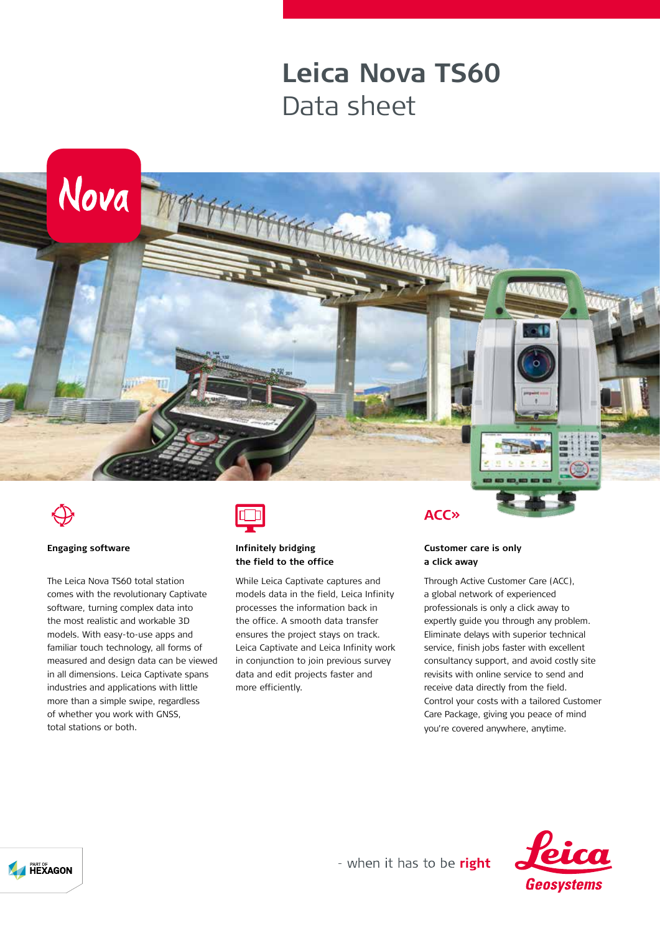## **Leica Nova TS60** Data sheet





#### **Engaging software**

The Leica Nova TS60 total station comes with the revolutionary Captivate software, turning complex data into the most realistic and workable 3D models. With easy-to-use apps and familiar touch technology, all forms of measured and design data can be viewed in all dimensions. Leica Captivate spans industries and applications with little more than a simple swipe, regardless of whether you work with GNSS, total stations or both.

Nova **Emm** 



### **Infinitely bridging the field to the office**

While Leica Captivate captures and models data in the field, Leica Infinity processes the information back in the office. A smooth data transfer ensures the project stays on track. Leica Captivate and Leica Infinity work in conjunction to join previous survey data and edit projects faster and more efficiently.

**ACC»** 

#### **Customer care is only a click away**

Through Active Customer Care (ACC), a global network of experienced professionals is only a click away to expertly guide you through any problem. Eliminate delays with superior technical service, finish jobs faster with excellent consultancy support, and avoid costly site revisits with online service to send and receive data directly from the field. Control your costs with a tailored Customer Care Package, giving you peace of mind you're covered anywhere, anytime.